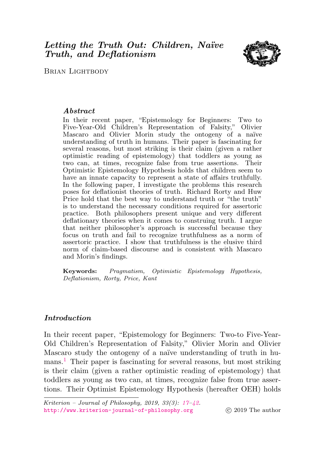# <span id="page-0-0"></span>Letting the Truth Out: Children, Naïve Truth, and Deflationism



**BRIAN LIGHTBODY** 

# Abstract

In their recent paper, "Epistemology for Beginners: Two to Five-Year-Old Children's Representation of Falsity," Olivier Mascaro and Olivier Morin study the ontogeny of a naïve understanding of truth in humans. Their paper is fascinating for several reasons, but most striking is their claim (given a rather optimistic reading of epistemology) that toddlers as young as two can, at times, recognize false from true assertions. Their Optimistic Epistemology Hypothesis holds that children seem to have an innate capacity to represent a state of affairs truthfully. In the following paper, I investigate the problems this research poses for deflationist theories of truth. Richard Rorty and Huw Price hold that the best way to understand truth or "the truth" is to understand the necessary conditions required for assertoric practice. Both philosophers present unique and very different deflationary theories when it comes to construing truth. I argue that neither philosopher's approach is successful because they focus on truth and fail to recognize truthfulness as a norm of assertoric practice. I show that truthfulness is the elusive third norm of claim-based discourse and is consistent with Mascaro and Morin's findings.

Keywords: Pragmatism, Optimistic Epistemology Hypothesis, Deflationism, Rorty, Price, Kant

# Introduction

<span id="page-0-1"></span>In their recent paper, "Epistemology for Beginners: Two-to Five-Year-Old Children's Representation of Falsity," Olivier Morin and Olivier Mascaro study the ontogeny of a naïve understanding of truth in hu-mans.<sup>[1](#page-19-0)</sup> Their paper is fascinating for several reasons, but most striking is their claim (given a rather optimistic reading of epistemology) that toddlers as young as two can, at times, recognize false from true assertions. Their Optimist Epistemology Hypothesis (hereafter OEH) holds

Kriterion – Journal of Philosophy, 2019, 33(3):  $17-\frac{12}{12}$ . <http://www.kriterion-journal-of-philosophy.org> (c) 2019 The author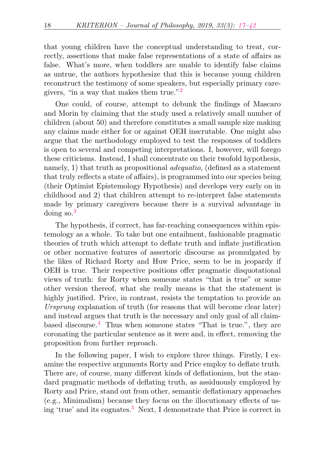that young children have the conceptual understanding to treat, correctly, assertions that make false representations of a state of affairs as false. What's more, when toddlers are unable to identify false claims as untrue, the authors hypothesize that this is because young children reconstruct the testimony of some speakers, but especially primary caregivers, "in a way that makes them true."[2](#page-19-1)

<span id="page-1-0"></span>One could, of course, attempt to debunk the findings of Mascaro and Morin by claiming that the study used a relatively small number of children (about 50) and therefore constitutes a small sample size making any claims made either for or against OEH inscrutable. One might also argue that the methodology employed to test the responses of toddlers is open to several and competing interpretations. I, however, will forego these criticisms. Instead, I shall concentrate on their twofold hypothesis, namely, 1) that truth as propositional *adequatio*, (defined as a statement that truly reflects a state of affairs), is programmed into our species being (their Optimist Epistemology Hypothesis) and develops very early on in childhood and 2) that children attempt to re-interpret false statements made by primary caregivers because there is a survival advantage in doing so.[3](#page-19-2)

<span id="page-1-1"></span>The hypothesis, if correct, has far-reaching consequences within epistemology as a whole. To take but one entailment, fashionable pragmatic theories of truth which attempt to deflate truth and inflate justification or other normative features of assertoric discourse as promulgated by the likes of Richard Rorty and Huw Price, seem to be in jeopardy if OEH is true. Their respective positions offer pragmatic disquotational views of truth: for Rorty when someone states "that is true" or some other version thereof, what she really means is that the statement is highly justified. Price, in contrast, resists the temptation to provide an Ursprung explanation of truth (for reasons that will become clear later) and instead argues that truth is the necessary and only goal of all claimbased discourse.[4](#page-19-3) Thus when someone states "That is true.", they are coronating the particular sentence as it were and, in effect, removing the proposition from further reproach.

<span id="page-1-3"></span><span id="page-1-2"></span>In the following paper, I wish to explore three things. Firstly, I examine the respective arguments Rorty and Price employ to deflate truth. There are, of course, many different kinds of deflationism, but the standard pragmatic methods of deflating truth, as assiduously employed by Rorty and Price, stand out from other, semantic deflationary approaches (e.g., Minimalism) because they focus on the illocutionary effects of us-ing 'true' and its cognates.<sup>[5](#page-19-4)</sup> Next, I demonstrate that Price is correct in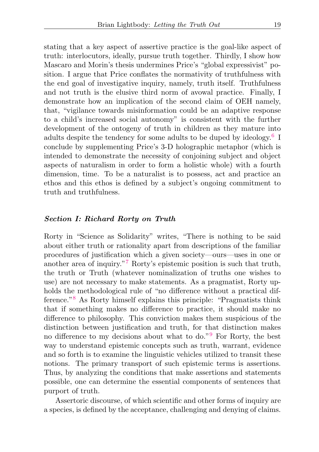<span id="page-2-0"></span>truth: interlocutors, ideally, pursue truth together. Thirdly, I show how Mascaro and Morin's thesis undermines Price's "global expressivist" position. I argue that Price conflates the normativity of truthfulness with the end goal of investigative inquiry, namely, truth itself. Truthfulness and not truth is the elusive third norm of avowal practice. Finally, I demonstrate how an implication of the second claim of OEH namely, that, "vigilance towards misinformation could be an adaptive response to a child's increased social autonomy" is consistent with the further development of the ontogeny of truth in children as they mature into adults despite the tendency for some adults to be duped by ideology.<sup>[6](#page-20-0)</sup> I conclude by supplementing Price's 3-D holographic metaphor (which is intended to demonstrate the necessity of conjoining subject and object aspects of naturalism in order to form a holistic whole) with a fourth dimension, time. To be a naturalist is to possess, act and practice an ethos and this ethos is defined by a subject's ongoing commitment to truth and truthfulness.

### Section I: Richard Rorty on Truth

<span id="page-2-2"></span><span id="page-2-1"></span>Rorty in "Science as Solidarity" writes, "There is nothing to be said about either truth or rationality apart from descriptions of the familiar procedures of justification which a given society—ours—uses in one or another area of inquiry."[7](#page-20-1) Rorty's epistemic position is such that truth, the truth or Truth (whatever nominalization of truths one wishes to use) are not necessary to make statements. As a pragmatist, Rorty upholds the methodological rule of "no difference without a practical difference."[8](#page-20-2) As Rorty himself explains this principle: "Pragmatists think that if something makes no difference to practice, it should make no difference to philosophy. This conviction makes them suspicious of the distinction between justification and truth, for that distinction makes no difference to my decisions about what to do."[9](#page-20-3) For Rorty, the best way to understand epistemic concepts such as truth, warrant, evidence and so forth is to examine the linguistic vehicles utilized to transit these notions. The primary transport of such epistemic terms is assertions. Thus, by analyzing the conditions that make assertions and statements possible, one can determine the essential components of sentences that purport of truth.

<span id="page-2-3"></span>Assertoric discourse, of which scientific and other forms of inquiry are a species, is defined by the acceptance, challenging and denying of claims.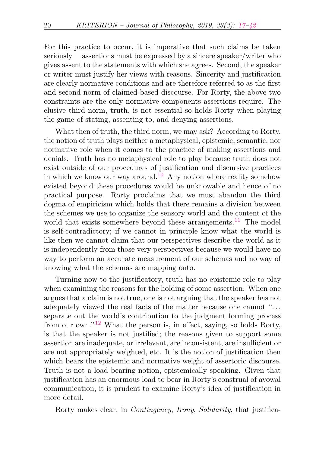For this practice to occur, it is imperative that such claims be taken seriously–– assertions must be expressed by a sincere speaker/writer who gives assent to the statements with which she agrees. Second, the speaker or writer must justify her views with reasons. Sincerity and justification are clearly normative conditions and are therefore referred to as the first and second norm of claimed-based discourse. For Rorty, the above two constraints are the only normative components assertions require. The elusive third norm, truth, is not essential so holds Rorty when playing the game of stating, assenting to, and denying assertions.

<span id="page-3-0"></span>What then of truth, the third norm, we may ask? According to Rorty, the notion of truth plays neither a metaphysical, epistemic, semantic, nor normative role when it comes to the practice of making assertions and denials. Truth has no metaphysical role to play because truth does not exist outside of our procedures of justification and discursive practices in which we know our way around.<sup>[10](#page-20-4)</sup> Any notion where reality somehow existed beyond these procedures would be unknowable and hence of no practical purpose. Rorty proclaims that we must abandon the third dogma of empiricism which holds that there remains a division between the schemes we use to organize the sensory world and the content of the world that exists somewhere beyond these arrangements.<sup>[11](#page-20-5)</sup> The model is self-contradictory; if we cannot in principle know what the world is like then we cannot claim that our perspectives describe the world as it is independently from those very perspectives because we would have no way to perform an accurate measurement of our schemas and no way of knowing what the schemas are mapping onto.

<span id="page-3-2"></span><span id="page-3-1"></span>Turning now to the justificatory, truth has no epistemic role to play when examining the reasons for the holding of some assertion. When one argues that a claim is not true, one is not arguing that the speaker has not adequately viewed the real facts of the matter because one cannot "... separate out the world's contribution to the judgment forming process from our own."[12](#page-20-6) What the person is, in effect, saying, so holds Rorty, is that the speaker is not justified; the reasons given to support some assertion are inadequate, or irrelevant, are inconsistent, are insufficient or are not appropriately weighted, etc. It is the notion of justification then which bears the epistemic and normative weight of assertoric discourse. Truth is not a load bearing notion, epistemically speaking. Given that justification has an enormous load to bear in Rorty's construal of avowal communication, it is prudent to examine Rorty's idea of justification in more detail.

Rorty makes clear, in *Contingency, Irony, Solidarity*, that justifica-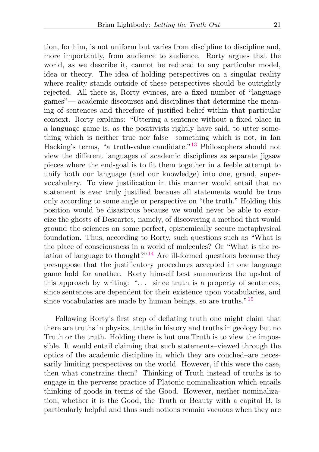<span id="page-4-0"></span>tion, for him, is not uniform but varies from discipline to discipline and, more importantly, from audience to audience. Rorty argues that the world, as we describe it, cannot be reduced to any particular model, idea or theory. The idea of holding perspectives on a singular reality where reality stands outside of these perspectives should be outrightly rejected. All there is, Rorty evinces, are a fixed number of "language games"— academic discourses and disciplines that determine the meaning of sentences and therefore of justified belief within that particular context. Rorty explains: "Uttering a sentence without a fixed place in a language game is, as the positivists rightly have said, to utter something which is neither true nor false—something which is not, in Ian Hacking's terms, "a truth-value candidate."[13](#page-20-7) Philosophers should not view the different languages of academic disciplines as separate jigsaw pieces where the end-goal is to fit them together in a feeble attempt to unify both our language (and our knowledge) into one, grand, supervocabulary. To view justification in this manner would entail that no statement is ever truly justified because all statements would be true only according to some angle or perspective on "the truth." Holding this position would be disastrous because we would never be able to exorcize the ghosts of Descartes, namely, of discovering a method that would ground the sciences on some perfect, epistemically secure metaphysical foundation. Thus, according to Rorty, such questions such as "What is the place of consciousness in a world of molecules? Or "What is the re-lation of language to thought?"<sup>[14](#page-20-8)</sup> Are ill-formed questions because they presuppose that the justificatory procedures accepted in one language game hold for another. Rorty himself best summarizes the upshot of this approach by writing: " $\dots$  since truth is a property of sentences, since sentences are dependent for their existence upon vocabularies, and since vocabularies are made by human beings, so are truths."<sup>[15](#page-21-0)</sup>

<span id="page-4-2"></span><span id="page-4-1"></span>Following Rorty's first step of deflating truth one might claim that there are truths in physics, truths in history and truths in geology but no Truth or the truth. Holding there is but one Truth is to view the impossible. It would entail claiming that such statements–viewed through the optics of the academic discipline in which they are couched–are necessarily limiting perspectives on the world. However, if this were the case, then what constrains them? Thinking of Truth instead of truths is to engage in the perverse practice of Platonic nominalization which entails thinking of goods in terms of the Good. However, neither nominalization, whether it is the Good, the Truth or Beauty with a capital B, is particularly helpful and thus such notions remain vacuous when they are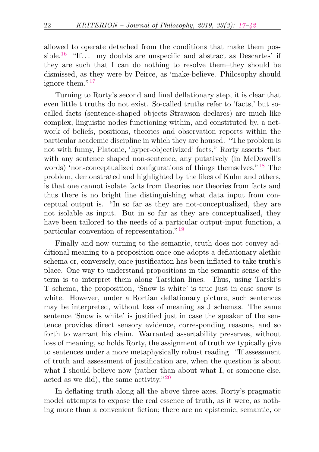<span id="page-5-0"></span>allowed to operate detached from the conditions that make them pos-sible.<sup>[16](#page-21-1)</sup> "If... my doubts are unspecific and abstract as Descartes'-if they are such that I can do nothing to resolve them–they should be dismissed, as they were by Peirce, as 'make-believe. Philosophy should ignore them."<sup>[17](#page-21-2)</sup>

<span id="page-5-2"></span><span id="page-5-1"></span>Turning to Rorty's second and final deflationary step, it is clear that even little t truths do not exist. So-called truths refer to 'facts,' but socalled facts (sentence-shaped objects Strawson declares) are much like complex, linguistic nodes functioning within, and constituted by, a network of beliefs, positions, theories and observation reports within the particular academic discipline in which they are housed. "The problem is not with funny, Platonic, 'hyper-objectivized' facts," Rorty asserts "but with any sentence shaped non-sentence, any putatively (in McDowell's words) 'non-conceptualized configurations of things themselves."<sup>[18](#page-21-3)</sup> The problem, demonstrated and highlighted by the likes of Kuhn and others, is that one cannot isolate facts from theories nor theories from facts and thus there is no bright line distinguishing what data input from conceptual output is. "In so far as they are not-conceptualized, they are not isolable as input. But in so far as they are conceptualized, they have been tailored to the needs of a particular output-input function, a particular convention of representation."[19](#page-21-4)

<span id="page-5-3"></span>Finally and now turning to the semantic, truth does not convey additional meaning to a proposition once one adopts a deflationary alethic schema or, conversely, once justification has been inflated to take truth's place. One way to understand propositions in the semantic sense of the term is to interpret them along Tarskian lines. Thus, using Tarski's T schema, the proposition, 'Snow is white' is true just in case snow is white. However, under a Rortian deflationary picture, such sentences may be interpreted, without loss of meaning as J schemas. The same sentence 'Snow is white' is justified just in case the speaker of the sentence provides direct sensory evidence, corresponding reasons, and so forth to warrant his claim. Warranted assertability preserves, without loss of meaning, so holds Rorty, the assignment of truth we typically give to sentences under a more metaphysically robust reading. "If assessment of truth and assessment of justification are, when the question is about what I should believe now (rather than about what I, or someone else, acted as we did), the same activity."[20](#page-21-5)

<span id="page-5-4"></span>In deflating truth along all the above three axes, Rorty's pragmatic model attempts to expose the real essence of truth, as it were, as nothing more than a convenient fiction; there are no epistemic, semantic, or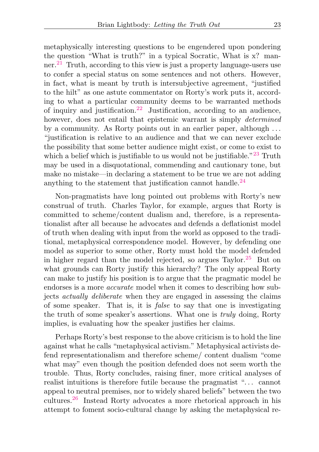<span id="page-6-1"></span><span id="page-6-0"></span>metaphysically interesting questions to be engendered upon pondering the question "What is truth?" in a typical Socratic, What is x? manner.[21](#page-21-6) Truth, according to this view is just a property language-users use to confer a special status on some sentences and not others. However, in fact, what is meant by truth is intersubjective agreement, "justified to the hilt" as one astute commentator on Rorty's work puts it, according to what a particular community deems to be warranted methods of inquiry and justification.<sup>[22](#page-22-0)</sup> Justification, according to an audience, however, does not entail that epistemic warrant is simply *determined* by a community. As Rorty points out in an earlier paper, although ... "justification is relative to an audience and that we can never exclude the possibility that some better audience might exist, or come to exist to which a belief which is justifiable to us would not be justifiable."<sup>[23](#page-22-1)</sup> Truth may be used in a disquotational, commending and cautionary tone, but make no mistake—in declaring a statement to be true we are not adding anything to the statement that justification cannot handle.<sup>[24](#page-22-2)</sup>

<span id="page-6-4"></span><span id="page-6-3"></span><span id="page-6-2"></span>Non-pragmatists have long pointed out problems with Rorty's new construal of truth. Charles Taylor, for example, argues that Rorty is committed to scheme/content dualism and, therefore, is a representationalist after all because he advocates and defends a deflationist model of truth when dealing with input from the world as opposed to the traditional, metaphysical correspondence model. However, by defending one model as superior to some other, Rorty must hold the model defended in higher regard than the model rejected, so argues Taylor.<sup>[25](#page-22-3)</sup> But on what grounds can Rorty justify this hierarchy? The only appeal Rorty can make to justify his position is to argue that the pragmatic model he endorses is a more accurate model when it comes to describing how subjects actually deliberate when they are engaged in assessing the claims of some speaker. That is, it is false to say that one is investigating the truth of some speaker's assertions. What one is truly doing, Rorty implies, is evaluating how the speaker justifies her claims.

<span id="page-6-5"></span>Perhaps Rorty's best response to the above criticism is to hold the line against what he calls "metaphysical activism." Metaphysical activists defend representationalism and therefore scheme/ content dualism "come what may" even though the position defended does not seem worth the trouble. Thus, Rorty concludes, raising finer, more critical analyses of realist intuitions is therefore futile because the pragmatist "... cannot appeal to neutral premises, nor to widely shared beliefs" between the two cultures.[26](#page-22-4) Instead Rorty advocates a more rhetorical approach in his attempt to foment socio-cultural change by asking the metaphysical re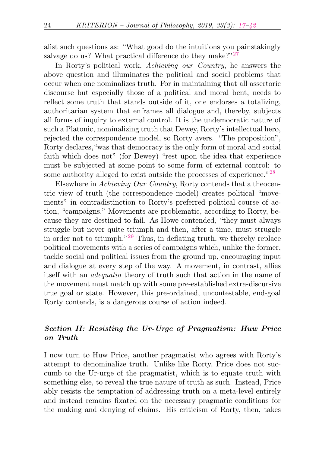<span id="page-7-0"></span>alist such questions as: "What good do the intuitions you painstakingly salvage do us? What practical difference do they make?"<sup>[27](#page-22-5)</sup>

In Rorty's political work, Achieving our Country, he answers the above question and illuminates the political and social problems that occur when one nominalizes truth. For in maintaining that all assertoric discourse but especially those of a political and moral bent, needs to reflect some truth that stands outside of it, one endorses a totalizing, authoritarian system that enframes all dialogue and, thereby, subjects all forms of inquiry to external control. It is the undemocratic nature of such a Platonic, nominalizing truth that Dewey, Rorty's intellectual hero, rejected the correspondence model, so Rorty avers. "The proposition", Rorty declares,"was that democracy is the only form of moral and social faith which does not" (for Dewey) "rest upon the idea that experience must be subjected at some point to some form of external control: to some authority alleged to exist outside the processes of experience."<sup>[28](#page-22-6)</sup>

<span id="page-7-2"></span><span id="page-7-1"></span>Elsewhere in Achieving Our Country, Rorty contends that a theocentric view of truth (the correspondence model) creates political "movements" in contradistinction to Rorty's preferred political course of action, "campaigns." Movements are problematic, according to Rorty, because they are destined to fail. As Howe contended, "they must always struggle but never quite triumph and then, after a time, must struggle in order not to triumph."[29](#page-22-7) Thus, in deflating truth, we thereby replace political movements with a series of campaigns which, unlike the former, tackle social and political issues from the ground up, encouraging input and dialogue at every step of the way. A movement, in contrast, allies itself with an adequatio theory of truth such that action in the name of the movement must match up with some pre-established extra-discursive true goal or state. However, this pre-ordained, uncontestable, end-goal Rorty contends, is a dangerous course of action indeed.

# Section II: Resisting the Ur-Urge of Pragmatism: Huw Price on Truth

I now turn to Huw Price, another pragmatist who agrees with Rorty's attempt to denominalize truth. Unlike like Rorty, Price does not succumb to the Ur-urge of the pragmatist, which is to equate truth with something else, to reveal the true nature of truth as such. Instead, Price ably resists the temptation of addressing truth on a meta-level entirely and instead remains fixated on the necessary pragmatic conditions for the making and denying of claims. His criticism of Rorty, then, takes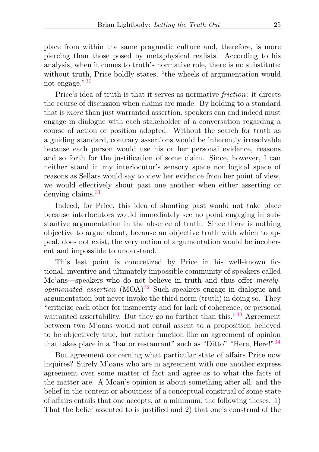place from within the same pragmatic culture and, therefore, is more piercing than those posed by metaphysical realists. According to his analysis, when it comes to truth's normative role, there is no substitute: without truth, Price boldly states, "the wheels of argumentation would not engage."<sup>[30](#page-22-8)</sup>

<span id="page-8-0"></span>Price's idea of truth is that it serves as normative friction: it directs the course of discussion when claims are made. By holding to a standard that is more than just warranted assertion, speakers can and indeed must engage in dialogue with each stakeholder of a conversation regarding a course of action or position adopted. Without the search for truth as a guiding standard, contrary assertions would be inherently irresolvable because each person would use his or her personal evidence, reasons and so forth for the justification of some claim. Since, however, I can neither stand in my interlocutor's sensory space nor logical space of reasons as Sellars would say to view her evidence from her point of view, we would effectively shout past one another when either asserting or denying claims.<sup>[31](#page-22-9)</sup>

<span id="page-8-1"></span>Indeed, for Price, this idea of shouting past would not take place because interlocutors would immediately see no point engaging in substantive argumentation in the absence of truth. Since there is nothing objective to argue about, because an objective truth with which to appeal, does not exist, the very notion of argumentation would be incoherent and impossible to understand.

<span id="page-8-2"></span>This last point is concretized by Price in his well-known fictional, inventive and ultimately impossible community of speakers called Mo'ans—speakers who do not believe in truth and thus offer *merelyopinionated assertion*  $(MOA)^{32}$  $(MOA)^{32}$  $(MOA)^{32}$  Such speakers engage in dialogue and argumentation but never invoke the third norm (truth) in doing so. They "criticize each other for insincerity and for lack of coherence, or personal warranted assertability. But they go no further than this."<sup>[33](#page-22-11)</sup> Agreement between two M'oans would not entail assent to a proposition believed to be objectively true, but rather function like an agreement of opinion that takes place in a "bar or restaurant" such as "Ditto" "Here, Here!"<sup>[34](#page-22-12)</sup>

<span id="page-8-4"></span><span id="page-8-3"></span>But agreement concerning what particular state of affairs Price now inquires? Surely M'oans who are in agreement with one another express agreement over some matter of fact and agree as to what the facts of the matter are. A Moan's opinion is about something after all, and the belief in the content or aboutness of a conceptual construal of some state of affairs entails that one accepts, at a minimum, the following theses. 1) That the belief assented to is justified and 2) that one's construal of the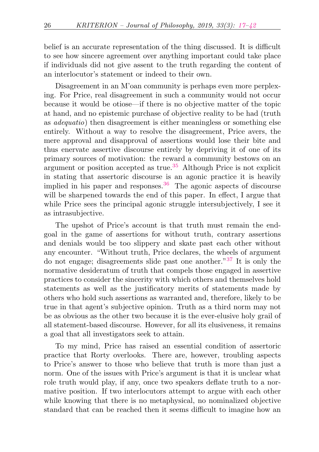belief is an accurate representation of the thing discussed. It is difficult to see how sincere agreement over anything important could take place if individuals did not give assent to the truth regarding the content of an interlocutor's statement or indeed to their own.

Disagreement in an M'oan community is perhaps even more perplexing. For Price, real disagreement in such a community would not occur because it would be otiose—if there is no objective matter of the topic at hand, and no epistemic purchase of objective reality to be had (truth as adequatio) then disagreement is either meaningless or something else entirely. Without a way to resolve the disagreement, Price avers, the mere approval and disapproval of assertions would lose their bite and thus enervate assertive discourse entirely by depriving it of one of its primary sources of motivation: the reward a community bestows on an argument or position accepted as true.[35](#page-22-13) Although Price is not explicit in stating that assertoric discourse is an agonic practice it is heavily implied in his paper and responses.<sup>[36](#page-22-14)</sup> The agonic aspects of discourse will be sharpened towards the end of this paper. In effect, I argue that while Price sees the principal agonic struggle intersubjectively, I see it as intrasubjective.

<span id="page-9-2"></span><span id="page-9-1"></span><span id="page-9-0"></span>The upshot of Price's account is that truth must remain the endgoal in the game of assertions for without truth, contrary assertions and denials would be too slippery and skate past each other without any encounter. "Without truth, Price declares, the wheels of argument do not engage; disagreements slide past one another."[37](#page-22-15) It is only the normative desideratum of truth that compels those engaged in assertive practices to consider the sincerity with which others and themselves hold statements as well as the justificatory merits of statements made by others who hold such assertions as warranted and, therefore, likely to be true in that agent's subjective opinion. Truth as a third norm may not be as obvious as the other two because it is the ever-elusive holy grail of all statement-based discourse. However, for all its elusiveness, it remains a goal that all investigators seek to attain.

To my mind, Price has raised an essential condition of assertoric practice that Rorty overlooks. There are, however, troubling aspects to Price's answer to those who believe that truth is more than just a norm. One of the issues with Price's argument is that it is unclear what role truth would play, if any, once two speakers deflate truth to a normative position. If two interlocutors attempt to argue with each other while knowing that there is no metaphysical, no nominalized objective standard that can be reached then it seems difficult to imagine how an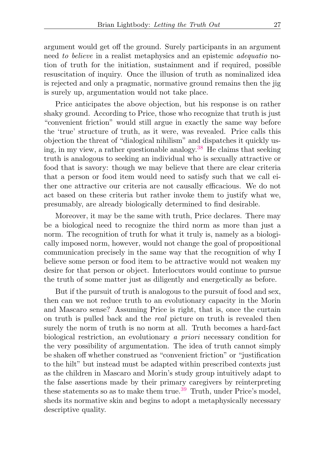argument would get off the ground. Surely participants in an argument need to believe in a realist metaphysics and an epistemic adequatio notion of truth for the initiation, sustainment and if required, possible resuscitation of inquiry. Once the illusion of truth as nominalized idea is rejected and only a pragmatic, normative ground remains then the jig is surely up, argumentation would not take place.

<span id="page-10-0"></span>Price anticipates the above objection, but his response is on rather shaky ground. According to Price, those who recognize that truth is just "convenient friction" would still argue in exactly the same way before the 'true' structure of truth, as it were, was revealed. Price calls this objection the threat of "dialogical nihilism" and dispatches it quickly us-ing, in my view, a rather questionable analogy.<sup>[38](#page-22-16)</sup> He claims that seeking truth is analogous to seeking an individual who is sexually attractive or food that is savory: though we may believe that there are clear criteria that a person or food item would need to satisfy such that we call either one attractive our criteria are not causally efficacious. We do not act based on these criteria but rather invoke them to justify what we, presumably, are already biologically determined to find desirable.

Moreover, it may be the same with truth, Price declares. There may be a biological need to recognize the third norm as more than just a norm. The recognition of truth for what it truly is, namely as a biologically imposed norm, however, would not change the goal of propositional communication precisely in the same way that the recognition of why I believe some person or food item to be attractive would not weaken my desire for that person or object. Interlocutors would continue to pursue the truth of some matter just as diligently and energetically as before.

<span id="page-10-1"></span>But if the pursuit of truth is analogous to the pursuit of food and sex, then can we not reduce truth to an evolutionary capacity in the Morin and Mascaro sense? Assuming Price is right, that is, once the curtain on truth is pulled back and the real picture on truth is revealed then surely the norm of truth is no norm at all. Truth becomes a hard-fact biological restriction, an evolutionary a priori necessary condition for the very possibility of argumentation. The idea of truth cannot simply be shaken off whether construed as "convenient friction" or "justification to the hilt" but instead must be adapted within prescribed contexts just as the children in Mascaro and Morin's study group intuitively adapt to the false assertions made by their primary caregivers by reinterpreting these statements so as to make them true.<sup>[39](#page-22-17)</sup> Truth, under Price's model, sheds its normative skin and begins to adopt a metaphysically necessary descriptive quality.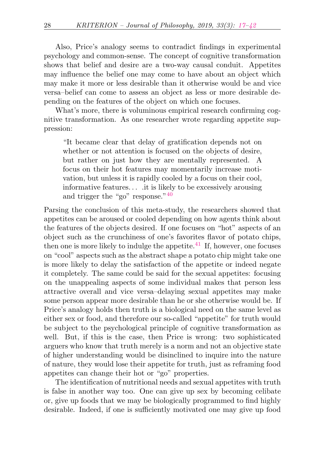Also, Price's analogy seems to contradict findings in experimental psychology and common-sense. The concept of cognitive transformation shows that belief and desire are a two-way causal conduit. Appetites may influence the belief one may come to have about an object which may make it more or less desirable than it otherwise would be and vice versa–belief can come to assess an object as less or more desirable depending on the features of the object on which one focuses.

What's more, there is voluminous empirical research confirming cognitive transformation. As one researcher wrote regarding appetite suppression:

<span id="page-11-0"></span>"It became clear that delay of gratification depends not on whether or not attention is focused on the objects of desire, but rather on just how they are mentally represented. A focus on their hot features may momentarily increase motivation, but unless it is rapidly cooled by a focus on their cool, informative features. . . .it is likely to be excessively arousing and trigger the "go" response."[40](#page-22-18)

<span id="page-11-1"></span>Parsing the conclusion of this meta-study, the researchers showed that appetites can be aroused or cooled depending on how agents think about the features of the objects desired. If one focuses on "hot" aspects of an object such as the crunchiness of one's favorites flavor of potato chips, then one is more likely to indulge the appetite.<sup>[41](#page-22-19)</sup> If, however, one focuses on "cool" aspects such as the abstract shape a potato chip might take one is more likely to delay the satisfaction of the appetite or indeed negate it completely. The same could be said for the sexual appetites: focusing on the unappealing aspects of some individual makes that person less attractive overall and vice versa–delaying sexual appetites may make some person appear more desirable than he or she otherwise would be. If Price's analogy holds then truth is a biological need on the same level as either sex or food, and therefore our so-called "appetite" for truth would be subject to the psychological principle of cognitive transformation as well. But, if this is the case, then Price is wrong: two sophisticated arguers who know that truth merely is a norm and not an objective state of higher understanding would be disinclined to inquire into the nature of nature, they would lose their appetite for truth, just as reframing food appetites can change their hot or "go" properties.

The identification of nutritional needs and sexual appetites with truth is false in another way too. One can give up sex by becoming celibate or, give up foods that we may be biologically programmed to find highly desirable. Indeed, if one is sufficiently motivated one may give up food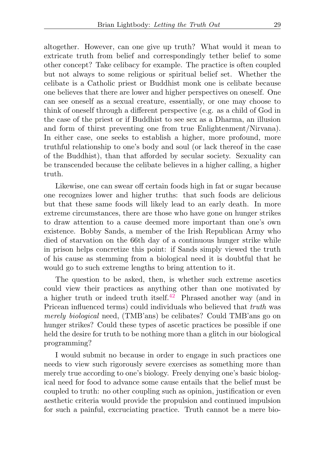altogether. However, can one give up truth? What would it mean to extricate truth from belief and correspondingly tether belief to some other concept? Take celibacy for example. The practice is often coupled but not always to some religious or spiritual belief set. Whether the celibate is a Catholic priest or Buddhist monk one is celibate because one believes that there are lower and higher perspectives on oneself. One can see oneself as a sexual creature, essentially, or one may choose to think of oneself through a different perspective (e.g. as a child of God in the case of the priest or if Buddhist to see sex as a Dharma, an illusion and form of thirst preventing one from true Enlightenment/Nirvana). In either case, one seeks to establish a higher, more profound, more truthful relationship to one's body and soul (or lack thereof in the case of the Buddhist), than that afforded by secular society. Sexuality can be transcended because the celibate believes in a higher calling, a higher truth.

Likewise, one can swear off certain foods high in fat or sugar because one recognizes lower and higher truths: that such foods are delicious but that these same foods will likely lead to an early death. In more extreme circumstances, there are those who have gone on hunger strikes to draw attention to a cause deemed more important than one's own existence. Bobby Sands, a member of the Irish Republican Army who died of starvation on the 66th day of a continuous hunger strike while in prison helps concretize this point: if Sands simply viewed the truth of his cause as stemming from a biological need it is doubtful that he would go to such extreme lengths to bring attention to it.

<span id="page-12-0"></span>The question to be asked, then, is whether such extreme ascetics could view their practices as anything other than one motivated by a higher truth or indeed truth itself.<sup>[42](#page-22-20)</sup> Phrased another way (and in Pricean influenced terms) could individuals who believed that truth was merely biological need, (TMB'ans) be celibates? Could TMB'ans go on hunger strikes? Could these types of ascetic practices be possible if one held the desire for truth to be nothing more than a glitch in our biological programming?

I would submit no because in order to engage in such practices one needs to view such rigorously severe exercises as something more than merely true according to one's biology. Freely denying one's basic biological need for food to advance some cause entails that the belief must be coupled to truth: no other coupling such as opinion, justification or even aesthetic criteria would provide the propulsion and continued impulsion for such a painful, excruciating practice. Truth cannot be a mere bio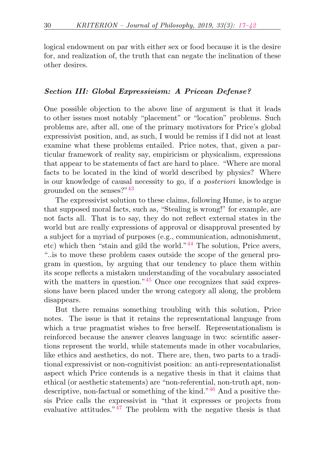logical endowment on par with either sex or food because it is the desire for, and realization of, the truth that can negate the inclination of these other desires.

#### Section III: Global Expressivism: A Pricean Defense?

One possible objection to the above line of argument is that it leads to other issues most notably "placement" or "location" problems. Such problems are, after all, one of the primary motivators for Price's global expressivist position, and, as such, I would be remiss if I did not at least examine what these problems entailed. Price notes, that, given a particular framework of reality say, empiricism or physicalism, expressions that appear to be statements of fact are hard to place. "Where are moral facts to be located in the kind of world described by physics? Where is our knowledge of causal necessity to go, if a posteriori knowledge is grounded on the senses?"[43](#page-22-21)

<span id="page-13-1"></span><span id="page-13-0"></span>The expressivist solution to these claims, following Hume, is to argue that supposed moral facts, such as, "Stealing is wrong!" for example, are not facts all. That is to say, they do not reflect external states in the world but are really expressions of approval or disapproval presented by a subject for a myriad of purposes (e.g., communication, admonishment, etc) which then "stain and gild the world."[44](#page-23-0) The solution, Price avers, "..is to move these problem cases outside the scope of the general program in question, by arguing that our tendency to place them within its scope reflects a mistaken understanding of the vocabulary associated with the matters in question."<sup>[45](#page-23-1)</sup> Once one recognizes that said expressions have been placed under the wrong category all along, the problem disappears.

<span id="page-13-4"></span><span id="page-13-3"></span><span id="page-13-2"></span>But there remains something troubling with this solution, Price notes. The issue is that it retains the representational language from which a true pragmatist wishes to free herself. Representationalism is reinforced because the answer cleaves language in two: scientific assertions represent the world, while statements made in other vocabularies, like ethics and aesthetics, do not. There are, then, two parts to a traditional expressivist or non-cognitivist position: an anti-representationalist aspect which Price contends is a negative thesis in that it claims that ethical (or aesthetic statements) are "non-referential, non-truth apt, nondescriptive, non-factual or something of the kind."[46](#page-23-2) And a positive thesis Price calls the expressivist in "that it expresses or projects from evaluative attitudes."[47](#page-23-3) The problem with the negative thesis is that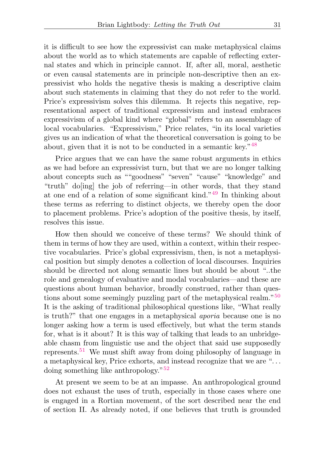it is difficult to see how the expressivist can make metaphysical claims about the world as to which statements are capable of reflecting external states and which in principle cannot. If, after all, moral, aesthetic or even causal statements are in principle non-descriptive then an expressivist who holds the negative thesis is making a descriptive claim about such statements in claiming that they do not refer to the world. Price's expressivism solves this dilemma. It rejects this negative, representational aspect of traditional expressivism and instead embraces expressivism of a global kind where "global" refers to an assemblage of local vocabularies. "Expressivism," Price relates, "in its local varieties gives us an indication of what the theoretical conversation is going to be about, given that it is not to be conducted in a semantic key."[48](#page-23-4)

<span id="page-14-1"></span><span id="page-14-0"></span>Price argues that we can have the same robust arguments in ethics as we had before an expressivist turn, but that we are no longer talking about concepts such as ""goodness" "seven" "cause" "knowledge" and "truth" do[ing] the job of referring—in other words, that they stand at one end of a relation of some significant kind."[49](#page-23-5) In thinking about these terms as referring to distinct objects, we thereby open the door to placement problems. Price's adoption of the positive thesis, by itself, resolves this issue.

<span id="page-14-2"></span>How then should we conceive of these terms? We should think of them in terms of how they are used, within a context, within their respective vocabularies. Price's global expressivism, then, is not a metaphysical position but simply denotes a collection of local discourses. Inquiries should be directed not along semantic lines but should be about "..the role and genealogy of evaluative and modal vocabularies—and these are questions about human behavior, broadly construed, rather than questions about some seemingly puzzling part of the metaphysical realm."[50](#page-23-6) It is the asking of traditional philosophical questions like, "What really is truth?" that one engages in a metaphysical aporia because one is no longer asking how a term is used effectively, but what the term stands for, what is it about? It is this way of talking that leads to an unbridgeable chasm from linguistic use and the object that said use supposedly represents.[51](#page-23-7) We must shift away from doing philosophy of language in a metaphysical key, Price exhorts, and instead recognize that we are ". . . doing something like anthropology."[52](#page-23-8)

<span id="page-14-4"></span><span id="page-14-3"></span>At present we seem to be at an impasse. An anthropological ground does not exhaust the uses of truth, especially in those cases where one is engaged in a Rortian movement, of the sort described near the end of section II. As already noted, if one believes that truth is grounded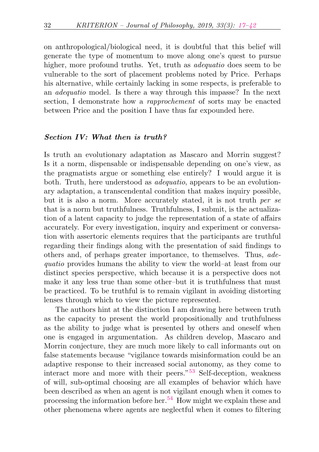on anthropological/biological need, it is doubtful that this belief will generate the type of momentum to move along one's quest to pursue higher, more profound truths. Yet, truth as *adequatio* does seem to be vulnerable to the sort of placement problems noted by Price. Perhaps his alternative, while certainly lacking in some respects, is preferable to an adequatio model. Is there a way through this impasse? In the next section, I demonstrate how a rapprochement of sorts may be enacted between Price and the position I have thus far expounded here.

## Section IV: What then is truth?

Is truth an evolutionary adaptation as Mascaro and Morrin suggest? Is it a norm, dispensable or indispensable depending on one's view, as the pragmatists argue or something else entirely? I would argue it is both. Truth, here understood as adequatio, appears to be an evolutionary adaptation, a transcendental condition that makes inquiry possible, but it is also a norm. More accurately stated, it is not truth per se that is a norm but truthfulness. Truthfulness, I submit, is the actualization of a latent capacity to judge the representation of a state of affairs accurately. For every investigation, inquiry and experiment or conversation with assertoric elements requires that the participants are truthful regarding their findings along with the presentation of said findings to others and, of perhaps greater importance, to themselves. Thus, adequatio provides humans the ability to view the world–at least from our distinct species perspective, which because it is a perspective does not make it any less true than some other–but it is truthfulness that must be practiced. To be truthful is to remain vigilant in avoiding distorting lenses through which to view the picture represented.

<span id="page-15-1"></span><span id="page-15-0"></span>The authors hint at the distinction I am drawing here between truth as the capacity to present the world propositionally and truthfulness as the ability to judge what is presented by others and oneself when one is engaged in argumentation. As children develop, Mascaro and Morrin conjecture, they are much more likely to call informants out on false statements because "vigilance towards misinformation could be an adaptive response to their increased social autonomy, as they come to interact more and more with their peers."[53](#page-23-9) Self-deception, weakness of will, sub-optimal choosing are all examples of behavior which have been described as when an agent is not vigilant enough when it comes to processing the information before her.<sup>[54](#page-23-10)</sup> How might we explain these and other phenomena where agents are neglectful when it comes to filtering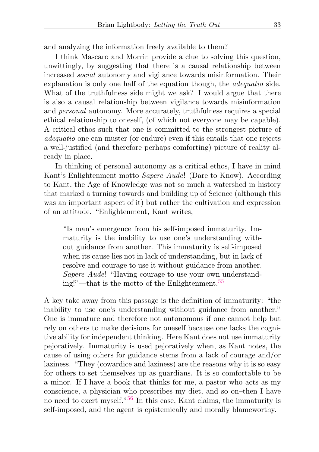and analyzing the information freely available to them?

I think Mascaro and Morrin provide a clue to solving this question, unwittingly, by suggesting that there is a causal relationship between increased social autonomy and vigilance towards misinformation. Their explanation is only one half of the equation though, the adequatio side. What of the truthfulness side might we ask? I would argue that there is also a causal relationship between vigilance towards misinformation and personal autonomy. More accurately, truthfulness requires a special ethical relationship to oneself, (of which not everyone may be capable). A critical ethos such that one is committed to the strongest picture of adequatio one can muster (or endure) even if this entails that one rejects a well-justified (and therefore perhaps comforting) picture of reality already in place.

In thinking of personal autonomy as a critical ethos, I have in mind Kant's Enlightenment motto Sapere Aude! (Dare to Know). According to Kant, the Age of Knowledge was not so much a watershed in history that marked a turning towards and building up of Science (although this was an important aspect of it) but rather the cultivation and expression of an attitude. "Enlightenment, Kant writes,

<span id="page-16-0"></span>"Is man's emergence from his self-imposed immaturity. Immaturity is the inability to use one's understanding without guidance from another. This immaturity is self-imposed when its cause lies not in lack of understanding, but in lack of resolve and courage to use it without guidance from another. Sapere Aude! "Having courage to use your own understanding!"—that is the motto of the Enlightenment.[55](#page-23-11)

<span id="page-16-1"></span>A key take away from this passage is the definition of immaturity: "the inability to use one's understanding without guidance from another." One is immature and therefore not autonomous if one cannot help but rely on others to make decisions for oneself because one lacks the cognitive ability for independent thinking. Here Kant does not use immaturity pejoratively. Immaturity is used pejoratively when, as Kant notes, the cause of using others for guidance stems from a lack of courage and/or laziness. "They (cowardice and laziness) are the reasons why it is so easy for others to set themselves up as guardians. It is so comfortable to be a minor. If I have a book that thinks for me, a pastor who acts as my conscience, a physician who prescribes my diet, and so on–then I have no need to exert myself."[56](#page-23-12) In this case, Kant claims, the immaturity is self-imposed, and the agent is epistemically and morally blameworthy.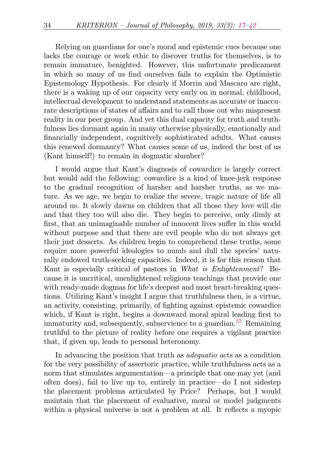Relying on guardians for one's moral and epistemic cues because one lacks the courage or work ethic to discover truths for themselves, is to remain immature, benighted. However, this unfortunate predicament in which so many of us find ourselves fails to explain the Optimistic Epistemology Hypothesis. For clearly if Morrin and Mascaro are right, there is a waking up of our capacity very early on in normal, childhood, intellectual development to understand statements as accurate or inaccurate descriptions of states of affairs and to call those out who mispresent reality in our peer group. And yet this dual capacity for truth and truthfulness lies dormant again in many otherwise physically, emotionally and financially independent, cognitively sophisticated adults. What causes this renewed dormancy? What causes some of us, indeed the best of us (Kant himself!) to remain in dogmatic slumber?

I would argue that Kant's diagnosis of cowardice is largely correct but would add the following: cowardice is a kind of knee-jerk response to the gradual recognition of harsher and harsher truths, as we mature. As we age, we begin to realize the severe, tragic nature of life all around us. It slowly dawns on children that all those they love will die and that they too will also die. They begin to perceive, only dimly at first, that an unimaginable number of innocent lives suffer in this world without purpose and that there are evil people who do not always get their just desserts. As children begin to comprehend these truths, some require more powerful ideologies to numb and dull the species' naturally endowed truth-seeking capacities. Indeed, it is for this reason that Kant is especially critical of pastors in What is Enlightenment? Because it is uncritical, unenlightened religious teachings that provide one with ready-made dogmas for life's deepest and most heart-breaking questions. Utilizing Kant's insight I argue that truthfulness then, is a virtue, an activity, consisting, primarily, of fighting against epistemic cowardice which, if Kant is right, begins a downward moral spiral leading first to immaturity and, subsequently, subservience to a guardian.<sup>[57](#page-23-13)</sup> Remaining truthful to the picture of reality before one requires a vigilant practice that, if given up, leads to personal heteronomy.

<span id="page-17-0"></span>In advancing the position that truth as adequatio acts as a condition for the very possibility of assertoric practice, while truthfulness acts as a norm that stimulates argumentation—a principle that one may yet (and often does), fail to live up to, entirely in practice—do I not sidestep the placement problems articulated by Price? Perhaps, but I would maintain that the placement of evaluative, moral or model judgments within a physical universe is not a problem at all. It reflects a myopic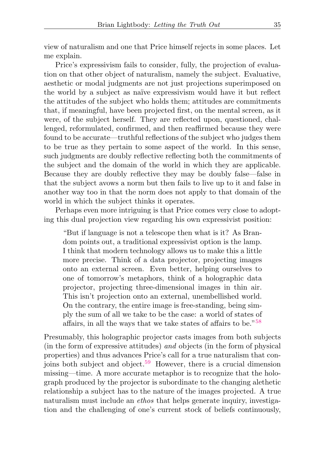view of naturalism and one that Price himself rejects in some places. Let me explain.

Price's expressivism fails to consider, fully, the projection of evaluation on that other object of naturalism, namely the subject. Evaluative, aesthetic or modal judgments are not just projections superimposed on the world by a subject as naïve expressivism would have it but reflect the attitudes of the subject who holds them; attitudes are commitments that, if meaningful, have been projected first, on the mental screen, as it were, of the subject herself. They are reflected upon, questioned, challenged, reformulated, confirmed, and then reaffirmed because they were found to be accurate—truthful reflections of the subject who judges them to be true as they pertain to some aspect of the world. In this sense, such judgments are doubly reflective reflecting both the commitments of the subject and the domain of the world in which they are applicable. Because they are doubly reflective they may be doubly false—false in that the subject avows a norm but then fails to live up to it and false in another way too in that the norm does not apply to that domain of the world in which the subject thinks it operates.

Perhaps even more intriguing is that Price comes very close to adopting this dual projection view regarding his own expressivist position:

<span id="page-18-0"></span>"But if language is not a telescope then what is it? As Brandom points out, a traditional expressivist option is the lamp. I think that modern technology allows us to make this a little more precise. Think of a data projector, projecting images onto an external screen. Even better, helping ourselves to one of tomorrow's metaphors, think of a holographic data projector, projecting three-dimensional images in thin air. This isn't projection onto an external, unembellished world. On the contrary, the entire image is free-standing, being simply the sum of all we take to be the case: a world of states of affairs, in all the ways that we take states of affairs to be."[58](#page-23-14)

<span id="page-18-1"></span>Presumably, this holographic projector casts images from both subjects (in the form of expressive attitudes) and objects (in the form of physical properties) and thus advances Price's call for a true naturalism that con-joins both subject and object.<sup>[59](#page-23-15)</sup> However, there is a crucial dimension missing—time. A more accurate metaphor is to recognize that the holograph produced by the projector is subordinate to the changing alethetic relationship a subject has to the nature of the images projected. A true naturalism must include an *ethos* that helps generate inquiry, investigation and the challenging of one's current stock of beliefs continuously,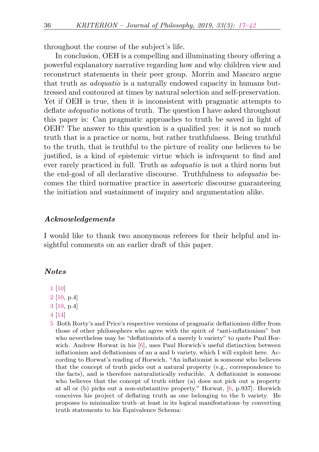throughout the course of the subject's life.

In conclusion, OEH is a compelling and illuminating theory offering a powerful explanatory narrative regarding how and why children view and reconstruct statements in their peer group. Morrin and Mascaro argue that truth as adequatio is a naturally endowed capacity in humans buttressed and contoured at times by natural selection and self-preservation. Yet if OEH is true, then it is inconsistent with pragmatic attempts to deflate adequatio notions of truth. The question I have asked throughout this paper is: Can pragmatic approaches to truth be saved in light of OEH? The answer to this question is a qualified yes: it is not so much truth that is a practice or norm, but rather truthfulness. Being truthful to the truth, that is truthful to the picture of reality one believes to be justified, is a kind of epistemic virtue which is infrequent to find and ever rarely practiced in full. Truth as adequatio is not a third norm but the end-goal of all declarative discourse. Truthfulness to adequatio becomes the third normative practice in assertoric discourse guaranteeing the initiation and sustainment of inquiry and argumentation alike.

### Acknowledgements

I would like to thank two anonymous referees for their helpful and insightful comments on an earlier draft of this paper.

#### Notes

- <span id="page-19-0"></span>[1](#page-0-1) [\[10\]](#page-24-1)
- <span id="page-19-1"></span>[2](#page-1-0) [\[10,](#page-24-1) p.4]
- <span id="page-19-2"></span>[3](#page-1-1) [\[10,](#page-24-1) p.4]
- <span id="page-19-3"></span>[4](#page-1-2) [\[14\]](#page-25-0)
- <span id="page-19-4"></span>[5](#page-1-3) Both Rorty's and Price's respective versions of pragmatic deflationism differ from those of other philosophers who agree with the spirit of "anti-inflationism" but who nevertheless may be "deflationists of a merely b variety" to quote Paul Horwich. Andrew Horwat in his [\[6\]](#page-24-2), uses Paul Horwich's useful distinction between inflationism and deflationism of an a and b variety, which I will exploit here. According to Horwat's reading of Horwich, "An inflationist is someone who believes that the concept of truth picks out a natural property (e.g., correspondence to the facts), and is therefore naturalistically reducible. A deflationist is someone who believes that the concept of truth either (a) does not pick out a property at all or (b) picks out a non-substantive property." Horwat, [\[6,](#page-24-2) p.937]. Horwich conceives his project of deflating truth as one belonging to the b variety. He proposes to minimalize truth–at least in its logical manifestations–by converting truth statements to his Equivalence Schema: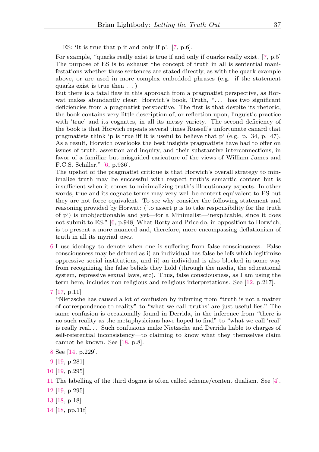ES: 'It is true that p if and only if p'. [\[7,](#page-24-3) p.6].

For example, "quarks really exist is true if and only if quarks really exist. [\[7,](#page-24-3) p.5] The purpose of ES is to exhaust the concept of truth in all is sentential manifestations whether these sentences are stated directly, as with the quark example above, or are used in more complex embedded phrases (e.g. if the statement quarks exist is true then . . . )

But there is a fatal flaw in this approach from a pragmatist perspective, as Horwat makes abundantly clear: Horwich's book, Truth, "... has two significant deficiencies from a pragmatist perspective. The first is that despite its rhetoric, the book contains very little description of, or reflection upon, linguistic practice with 'true' and its cognates, in all its messy variety. The second deficiency of the book is that Horwich repeats several times Russell's unfortunate canard that pragmatists think 'p is true iff it is useful to believe that p' (e.g. p. 34, p. 47). As a result, Horwich overlooks the best insights pragmatists have had to offer on issues of truth, assertion and inquiry, and their substantive interconnections, in favor of a familiar but misguided caricature of the views of William James and F.C.S. Schiller." [\[6,](#page-24-2) p.936].

The upshot of the pragmatist critique is that Horwich's overall strategy to minimalize truth may be successful with respect truth's semantic content but is insufficient when it comes to minimalizing truth's illocutionary aspects. In other words, true and its cognate terms may very well be content equivalent to ES but they are not force equivalent. To see why consider the following statement and reasoning provided by Horwat: ('to assert p is to take responsibility for the truth of p') is unobjectionable and yet—for a Minimalist—inexplicable, since it does not submit to ES." [\[6,](#page-24-2) p.948] What Rorty and Price do, in opposition to Horwich, is to present a more nuanced and, therefore, more encompassing deflationism of truth in all its myriad uses.

<span id="page-20-0"></span>[6](#page-2-0) I use ideology to denote when one is suffering from false consciousness. False consciousness may be defined as i) an individual has false beliefs which legitimize oppressive social institutions, and ii) an individual is also blocked in some way from recognizing the false beliefs they hold (through the media, the educational system, repressive sexual laws, etc). Thus, false consciousness, as I am using the term here, includes non-religious and religious interpretations. See [\[12,](#page-25-1) p.217].

"Nietzsche has caused a lot of confusion by inferring from "truth is not a matter of correspondence to reality" to "what we call 'truths' are just useful lies." The same confusion is occasionally found in Derrida, in the inference from "there is no such reality as the metaphysicians have hoped to find" to "what we call 'real' is really real. . . Such confusions make Nietzsche and Derrida liable to charges of self-referential inconsistency—to claiming to know what they themselves claim cannot be known. See [\[18,](#page-25-3) p.8].

- <span id="page-20-2"></span>[8](#page-2-2) See [\[14,](#page-25-0) p.229].
- <span id="page-20-3"></span>[9](#page-2-3) [\[19,](#page-25-4) p.281]
- <span id="page-20-4"></span>[10](#page-3-0) [\[19,](#page-25-4) p.295]

- <span id="page-20-6"></span>[12](#page-3-2) [\[19,](#page-25-4) p.295]
- <span id="page-20-7"></span>[13](#page-4-0) [\[18,](#page-25-3) p.18]
- <span id="page-20-8"></span>[14](#page-4-1) [\[18,](#page-25-3) pp.11f]

<span id="page-20-1"></span>[<sup>7</sup>](#page-2-1) [\[17,](#page-25-2) p.11]

<span id="page-20-5"></span>[<sup>11</sup>](#page-3-1) The labelling of the third dogma is often called scheme/content dualism. See [\[4\]](#page-24-4).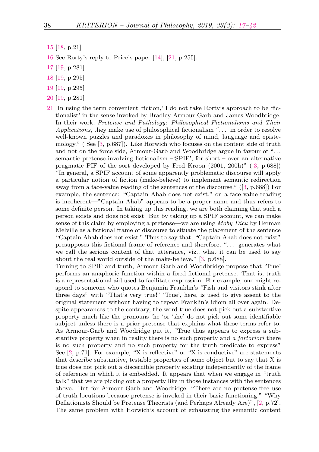- <span id="page-21-0"></span>[15](#page-4-2) [\[18,](#page-25-3) p.21]
- <span id="page-21-1"></span>[16](#page-5-0) See Rorty's reply to Price's paper [\[14\]](#page-25-0), [\[21,](#page-25-5) p.255].
- <span id="page-21-2"></span>[17](#page-5-1) [\[19,](#page-25-4) p.281]
- <span id="page-21-3"></span>[18](#page-5-2) [\[19,](#page-25-4) p.295]
- <span id="page-21-4"></span>[19](#page-5-3) [\[19,](#page-25-4) p.295]
- <span id="page-21-5"></span>[20](#page-5-4) [\[19,](#page-25-4) p.281]
- <span id="page-21-6"></span>[21](#page-6-0) In using the term convenient 'fiction,' I do not take Rorty's approach to be 'fictionalist' in the sense invoked by Bradley Armour-Garb and James Woodbridge. In their work, Pretense and Pathology: Philosophical Fictionalisms and Their Applications, they make use of philosophical fictionalism "... in order to resolve well-known puzzles and paradoxes in philosophy of mind, language and epistemology." ( See [\[3,](#page-24-5) p.687]). Like Horwich who focuses on the content side of truth and not on the force side, Armour-Garb and Woodbridge argue in favour of ". . . semantic pretense-involving fictionalism –'SPIF', for short – over an alternative pragmatic PIF of the sort developed by Fred Kroon (2001, 200h)" ([\[3,](#page-24-5) p.688]) "In general, a SPIF account of some apparently problematic discourse will apply a particular notion of fiction (make-believe) to implement semantic redirection away from a face-value reading of the sentences of the discourse." ([\[3,](#page-24-5) p.688]) For example, the sentence: "Captain Ahab does not exist." on a face value reading is incoherent—"Captain Ahab" appears to be a proper name and thus refers to some definite person. In taking up this reading, we are both claiming that such a person exists and does not exist. But by taking up a SPIF account, we can make sense of this claim by employing a pretense—we are using Moby Dick by Herman Melville as a fictional frame of discourse to situate the placement of the sentence "Captain Ahab does not exist." Thus to say that, "Captain Ahab does not exist" presupposes this fictional frame of reference and therefore, ". . . generates what we call the serious content of that utterance, viz., what it can be used to say about the real world outside of the make-believe." [\[3,](#page-24-5) p.688].

Turning to SPIF and truth, Armour-Garb and Woodbridge propose that 'True' performs an anaphoric function within a fixed fictional pretense. That is, truth is a representational aid used to facilitate expression. For example, one might respond to someone who quotes Benjamin Franklin's "Fish and visitors stink after three days" with "That's very true!" 'True', here, is used to give assent to the original statement without having to repeat Franklin's idiom all over again. Despite appearances to the contrary, the word true does not pick out a substantive property much like the pronouns 'he 'or 'she' do not pick out some identifiable subject unless there is a prior pretense that explains what these terms refer to. As Armour-Garb and Woodridge put it, "True thus appears to express a substantive property when in reality there is no such property and a fortoriori there is no such property and no such property for the truth predicate to express" See  $[2, p.71]$  $[2, p.71]$ . For example, "X is reflective" or "X is conductive" are statements that describe substantive, testable properties of some object but to say that X is true does not pick out a discernible property existing independently of the frame of reference in which it is embedded. It appears that when we engage in "truth talk" that we are picking out a property like in those instances with the sentences above. But for Armour-Garb and Woodridge, "There are no pretense-free use of truth locutions because pretense is invoked in their basic functioning." "Why Deflationists Should be Pretense Theorists (and Perhaps Already Are)", [\[2,](#page-24-6) p.72]. The same problem with Horwich's account of exhausting the semantic content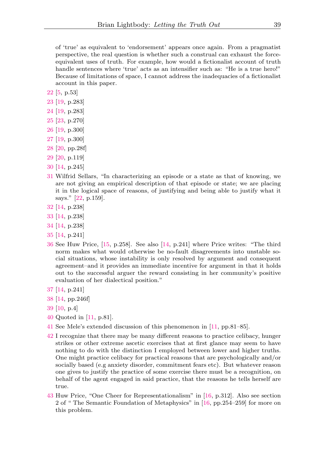of 'true' as equivalent to 'endorsement' appears once again. From a pragmatist perspective, the real question is whether such a construal can exhaust the forceequivalent uses of truth. For example, how would a fictionalist account of truth handle sentences where 'true' acts as an intensifier such as: "He is a true hero!" Because of limitations of space, I cannot address the inadequacies of a fictionalist account in this paper.

- <span id="page-22-0"></span>[22](#page-6-1) [\[5,](#page-24-7) p.53]
- <span id="page-22-1"></span>[23](#page-6-2) [\[19,](#page-25-4) p.283]
- <span id="page-22-2"></span>[24](#page-6-3) [\[19,](#page-25-4) p.283]
- <span id="page-22-3"></span>[25](#page-6-4) [\[23,](#page-25-6) p.270]
- <span id="page-22-4"></span>[26](#page-6-5) [\[19,](#page-25-4) p.300]
- <span id="page-22-5"></span>[27](#page-7-0) [\[19,](#page-25-4) p.300]
- <span id="page-22-6"></span>[28](#page-7-1) [\[20,](#page-25-7) pp.28f]
- <span id="page-22-7"></span>[29](#page-7-2) [\[20,](#page-25-7) p.119]
- <span id="page-22-8"></span>[30](#page-8-0) [\[14,](#page-25-0) p.245]
- <span id="page-22-9"></span>[31](#page-8-1) Wilfrid Sellars, "In characterizing an episode or a state as that of knowing, we are not giving an empirical description of that episode or state; we are placing it in the logical space of reasons, of justifying and being able to justify what it says." [\[22,](#page-25-8) p.159].
- <span id="page-22-10"></span>[32](#page-8-2) [\[14,](#page-25-0) p.238]
- <span id="page-22-11"></span>[33](#page-8-3) [\[14,](#page-25-0) p.238]
- <span id="page-22-12"></span>[34](#page-8-4) [\[14,](#page-25-0) p.238]
- <span id="page-22-13"></span>[35](#page-9-0) [\[14,](#page-25-0) p.241]
- <span id="page-22-14"></span>[36](#page-9-1) See Huw Price, [\[15,](#page-25-9) p.258]. See also [\[14,](#page-25-0) p.241] where Price writes: "The third norm makes what would otherwise be no-fault disagreements into unstable social situations, whose instability is only resolved by argument and consequent agreement–and it provides an immediate incentive for argument in that it holds out to the successful arguer the reward consisting in her community's positive evaluation of her dialectical position."
- <span id="page-22-15"></span>[37](#page-9-2) [\[14,](#page-25-0) p.241]
- <span id="page-22-16"></span>[38](#page-10-0) [\[14,](#page-25-0) pp.246f]
- <span id="page-22-17"></span>[39](#page-10-1) [\[10,](#page-24-1) p.4]
- <span id="page-22-18"></span>[40](#page-11-0) Quoted in [\[11,](#page-24-8) p.81].
- <span id="page-22-19"></span>[41](#page-11-1) See Mele's extended discussion of this phenomenon in [\[11,](#page-24-8) pp.81–85].
- <span id="page-22-20"></span>[42](#page-12-0) I recognize that there may be many different reasons to practice celibacy, hunger strikes or other extreme ascetic exercises that at first glance may seem to have nothing to do with the distinction I employed between lower and higher truths. One might practice celibacy for practical reasons that are psychologically and/or socially based (e.g anxiety disorder, commitment fears etc). But whatever reason one gives to justify the practice of some exercise there must be a recognition, on behalf of the agent engaged in said practice, that the reasons he tells herself are true.
- <span id="page-22-21"></span>[43](#page-13-0) Huw Price, "One Cheer for Representationalism" in [\[16,](#page-25-10) p.312]. Also see section 2 of " The Semantic Foundation of Metaphysics" in [\[16,](#page-25-10) pp.254–259] for more on this problem.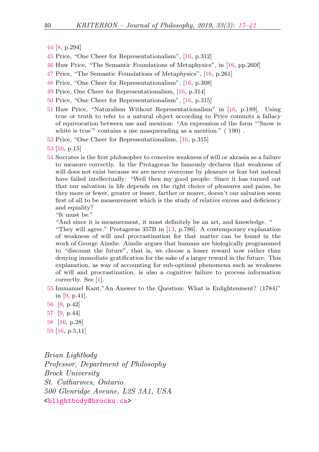- <span id="page-23-0"></span>[44](#page-13-1) [\[8,](#page-24-9) p.294]
- <span id="page-23-1"></span>[45](#page-13-2) Price, "One Cheer for Representationalism", [\[16,](#page-25-10) p.312]
- <span id="page-23-2"></span>[46](#page-13-3) Huw Price, "The Semantic Foundations of Metaphysics", in [\[16,](#page-25-10) pp.260f]
- <span id="page-23-3"></span>[47](#page-13-4) Price, "The Semantic Foundations of Metaphysics", [\[16,](#page-25-10) p.261]
- <span id="page-23-4"></span>[48](#page-14-0) Price, "One Cheer for Representationalism", [\[16,](#page-25-10) p.308]
- <span id="page-23-5"></span>[49](#page-14-1) Price, One Cheer for Representationalism, [\[16,](#page-25-10) p.314]
- <span id="page-23-6"></span>[50](#page-14-2) Price, "One Cheer for Representationalism", [\[16,](#page-25-10) p.315]
- <span id="page-23-7"></span>[51](#page-14-3) Huw Price, "Naturalism Without Representationalism" in [\[16,](#page-25-10) p.189]. Using true or truth to refer to a natural object according to Price commits a fallacy of equivocation between use and mention: "An expression of the form "'Snow is white is true'" contains a use masquerading as a mention."  $(190)$ .
- <span id="page-23-8"></span>[52](#page-14-4) Price, "One Cheer for Representationalism, [\[16,](#page-25-10) p.315]
- <span id="page-23-9"></span>[53](#page-15-0) [\[10,](#page-24-1) p.15]
- <span id="page-23-10"></span>[54](#page-15-1) Socrates is the first philosopher to conceive weakness of will or akrasia as a failure to measure correctly. In the Protagoras he famously declares that weakness of will does not exist because we are never overcome by pleasure or fear but instead have failed intellectually: "Well then my good people: Since it has turned out that our salvation in life depends on the right choice of pleasures and pains, be they more or fewer, greater or lesser, farther or nearer, doesn't our salvation seem first of all to be measurement which is the study of relative excess and deficiency and equality?

"It must be."

"And since it is measurement, it must definitely be an art, and knowledge. "

"They will agree." Protagoras 357B in [\[13,](#page-25-11) p.786]. A contemporary explanation of weakness of will and procrastination for that matter can be found in the work of George Ainslie. Ainslie argues that humans are biologically programmed to "discount the future", that is, we choose a lesser reward now rather than denying immediate gratification for the sake of a larger reward in the future. This explanation, as way of accounting for sub-optimal phenomena such as weakness of will and procrastination, is also a cognitive failure to process information correctly. See [\[1\]](#page-24-10).

- <span id="page-23-11"></span>[55](#page-16-0) Immanuel Kant,"An Answer to the Question: What is Enlightenment? (1784)" in [\[9,](#page-24-11) p.41].
- <span id="page-23-12"></span>[56](#page-16-1) [\[9,](#page-24-11) p.42]
- <span id="page-23-13"></span>[57](#page-17-0) [\[9,](#page-24-11) p.44]
- <span id="page-23-14"></span>[58](#page-18-0) [\[16,](#page-25-10) p.28]
- <span id="page-23-15"></span>[59](#page-18-1) [\[16,](#page-25-10) p.5,11]

Brian Lightbody Professor, Department of Philosophy Brock University St. Catharines, Ontario 500 Glenridge Aveune, L2S 3A1, USA [<blightbody@brocku.ca>](mailto:blightbody@brocku.ca)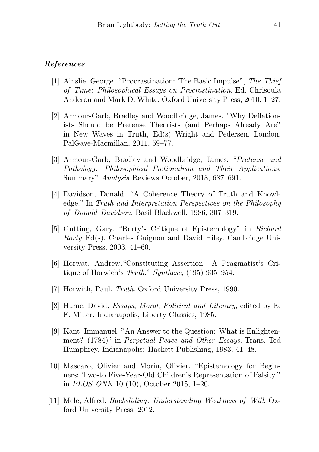#### <span id="page-24-0"></span>References

- <span id="page-24-10"></span>[1] Ainslie, George. "Procrastination: The Basic Impulse", The Thief of Time: Philosophical Essays on Procrastination. Ed. Chrisoula Anderou and Mark D. White. Oxford University Press, 2010, 1–27.
- <span id="page-24-6"></span>[2] Armour-Garb, Bradley and Woodbridge, James. "Why Deflationists Should be Pretense Theorists (and Perhaps Already Are" in New Waves in Truth, Ed(s) Wright and Pedersen. London, PalGave-Macmillan, 2011, 59–77.
- <span id="page-24-5"></span>[3] Armour-Garb, Bradley and Woodbridge, James. "Pretense and Pathology: Philosophical Fictionalism and Their Applications, Summary" Analysis Reviews October, 2018, 687–691.
- <span id="page-24-4"></span>[4] Davidson, Donald. "A Coherence Theory of Truth and Knowledge." In Truth and Interpretation Perspectives on the Philosophy of Donald Davidson. Basil Blackwell, 1986, 307–319.
- <span id="page-24-7"></span>[5] Gutting, Gary. "Rorty's Critique of Epistemology" in Richard Rorty Ed(s). Charles Guignon and David Hiley. Cambridge University Press, 2003. 41–60.
- <span id="page-24-2"></span>[6] Horwat, Andrew."Constituting Assertion: A Pragmatist's Critique of Horwich's Truth." Synthese, (195) 935–954.
- <span id="page-24-3"></span>[7] Horwich, Paul. Truth. Oxford University Press, 1990.
- <span id="page-24-9"></span>[8] Hume, David, Essays, Moral, Political and Literary, edited by E. F. Miller. Indianapolis, Liberty Classics, 1985.
- <span id="page-24-11"></span>[9] Kant, Immanuel. "An Answer to the Question: What is Enlightenment? (1784)" in Perpetual Peace and Other Essays. Trans. Ted Humphrey. Indianapolis: Hackett Publishing, 1983, 41–48.
- <span id="page-24-1"></span>[10] Mascaro, Olivier and Morin, Olivier. "Epistemology for Beginners: Two-to Five-Year-Old Children's Representation of Falsity," in PLOS ONE 10 (10), October 2015, 1–20.
- <span id="page-24-8"></span>[11] Mele, Alfred. Backsliding: Understanding Weakness of Will. Oxford University Press, 2012.